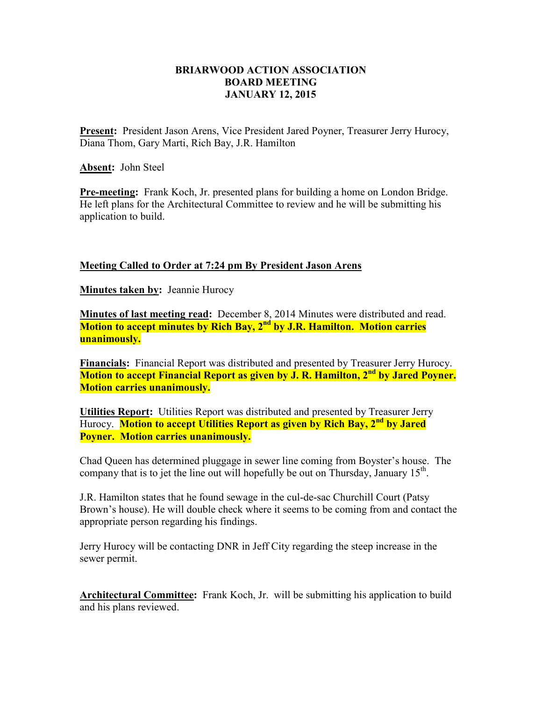## **BRIARWOOD ACTION ASSOCIATION BOARD MEETING JANUARY 12, 2015**

**Present:** President Jason Arens, Vice President Jared Poyner, Treasurer Jerry Hurocy, Diana Thom, Gary Marti, Rich Bay, J.R. Hamilton

**Absent:** John Steel

**Pre-meeting:** Frank Koch, Jr. presented plans for building a home on London Bridge. He left plans for the Architectural Committee to review and he will be submitting his application to build.

## **Meeting Called to Order at 7:24 pm By President Jason Arens**

**Minutes taken by:** Jeannie Hurocy

**Minutes of last meeting read:** December 8, 2014 Minutes were distributed and read. **Motion to accept minutes by Rich Bay, 2nd by J.R. Hamilton. Motion carries unanimously.** 

**Financials:** Financial Report was distributed and presented by Treasurer Jerry Hurocy. **Motion to accept Financial Report as given by J. R. Hamilton, 2nd by Jared Poyner. Motion carries unanimously.** 

**Utilities Report:** Utilities Report was distributed and presented by Treasurer Jerry Hurocy. **Motion to accept Utilities Report as given by Rich Bay, 2nd by Jared Poyner. Motion carries unanimously.**

Chad Queen has determined pluggage in sewer line coming from Boyster's house. The company that is to jet the line out will hopefully be out on Thursday, January  $15<sup>th</sup>$ .

J.R. Hamilton states that he found sewage in the cul-de-sac Churchill Court (Patsy Brown's house). He will double check where it seems to be coming from and contact the appropriate person regarding his findings.

Jerry Hurocy will be contacting DNR in Jeff City regarding the steep increase in the sewer permit.

**Architectural Committee:** Frank Koch, Jr. will be submitting his application to build and his plans reviewed.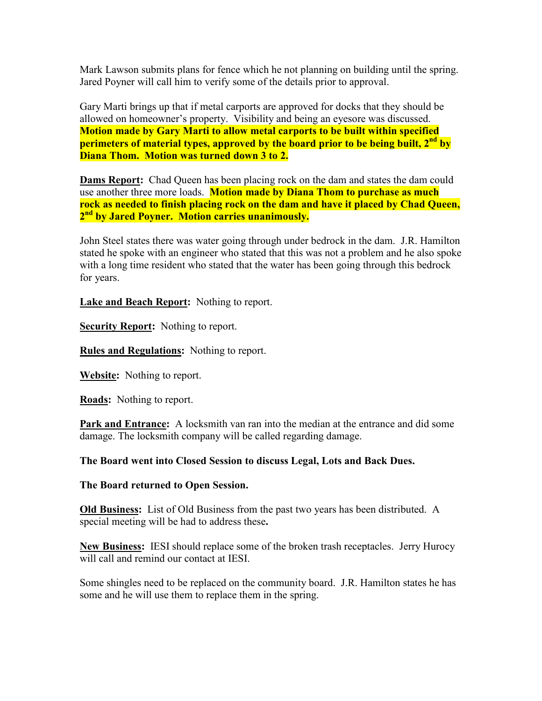Mark Lawson submits plans for fence which he not planning on building until the spring. Jared Poyner will call him to verify some of the details prior to approval.

Gary Marti brings up that if metal carports are approved for docks that they should be allowed on homeowner's property. Visibility and being an eyesore was discussed. **Motion made by Gary Marti to allow metal carports to be built within specified perimeters of material types, approved by the board prior to be being built, 2nd by Diana Thom. Motion was turned down 3 to 2.**

**Dams Report:** Chad Queen has been placing rock on the dam and states the dam could use another three more loads. **Motion made by Diana Thom to purchase as much rock as needed to finish placing rock on the dam and have it placed by Chad Queen, 2 nd by Jared Poyner. Motion carries unanimously.** 

John Steel states there was water going through under bedrock in the dam. J.R. Hamilton stated he spoke with an engineer who stated that this was not a problem and he also spoke with a long time resident who stated that the water has been going through this bedrock for years.

**Lake and Beach Report:** Nothing to report.

**Security Report:** Nothing to report.

**Rules and Regulations:** Nothing to report.

**Website:** Nothing to report.

**Roads:** Nothing to report.

Park and Entrance: A locksmith van ran into the median at the entrance and did some damage. The locksmith company will be called regarding damage.

**The Board went into Closed Session to discuss Legal, Lots and Back Dues.** 

**The Board returned to Open Session.** 

**Old Business:** List of Old Business from the past two years has been distributed. A special meeting will be had to address these**.** 

**New Business:** IESI should replace some of the broken trash receptacles. Jerry Hurocy will call and remind our contact at IESI.

Some shingles need to be replaced on the community board. J.R. Hamilton states he has some and he will use them to replace them in the spring.